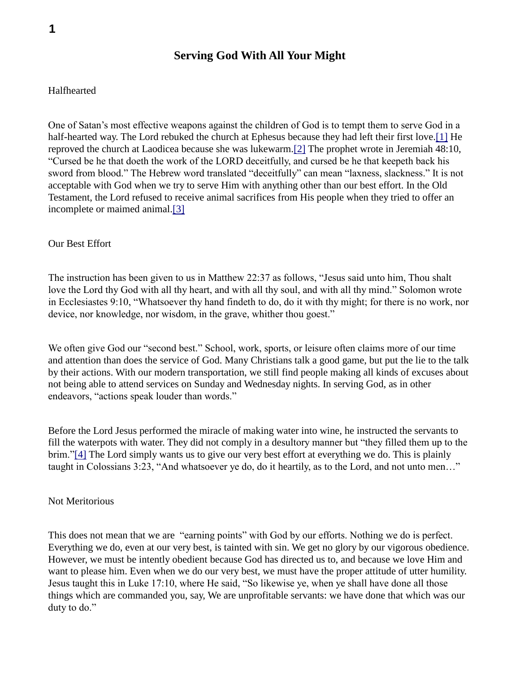## **Serving God With All Your Might**

#### Halfhearted

One of Satan's most effective weapons against the children of God is to tempt them to serve God in a half-hearted way. The Lord rebuked the church at Ephesus because they had left their first love.[1] He reproved the church at Laodicea because she was lukewarm.[2] The prophet wrote in Jeremiah 48:10, "Cursed be he that doeth the work of the LORD deceitfully, and cursed be he that keepeth back his sword from blood." The Hebrew word translated "deceitfully" can mean "laxness, slackness." It is not acceptable with God when we try to serve Him with anything other than our best effort. In the Old Testament, the Lord refused to receive animal sacrifices from His people when they tried to offer an incomplete or maimed animal.[3]

#### Our Best Effort

The instruction has been given to us in Matthew 22:37 as follows, "Jesus said unto him, Thou shalt love the Lord thy God with all thy heart, and with all thy soul, and with all thy mind." Solomon wrote in Ecclesiastes 9:10, "Whatsoever thy hand findeth to do, do it with thy might; for there is no work, nor device, nor knowledge, nor wisdom, in the grave, whither thou goest."

We often give God our "second best." School, work, sports, or leisure often claims more of our time and attention than does the service of God. Many Christians talk a good game, but put the lie to the talk by their actions. With our modern transportation, we still find people making all kinds of excuses about not being able to attend services on Sunday and Wednesday nights. In serving God, as in other endeavors, "actions speak louder than words."

Before the Lord Jesus performed the miracle of making water into wine, he instructed the servants to fill the waterpots with water. They did not comply in a desultory manner but "they filled them up to the brim."[4] The Lord simply wants us to give our very best effort at everything we do. This is plainly taught in Colossians 3:23, "And whatsoever ye do, do it heartily, as to the Lord, and not unto men…"

#### Not Meritorious

This does not mean that we are "earning points" with God by our efforts. Nothing we do is perfect. Everything we do, even at our very best, is tainted with sin. We get no glory by our vigorous obedience. However, we must be intently obedient because God has directed us to, and because we love Him and want to please him. Even when we do our very best, we must have the proper attitude of utter humility. Jesus taught this in Luke 17:10, where He said, "So likewise ye, when ye shall have done all those things which are commanded you, say, We are unprofitable servants: we have done that which was our duty to do."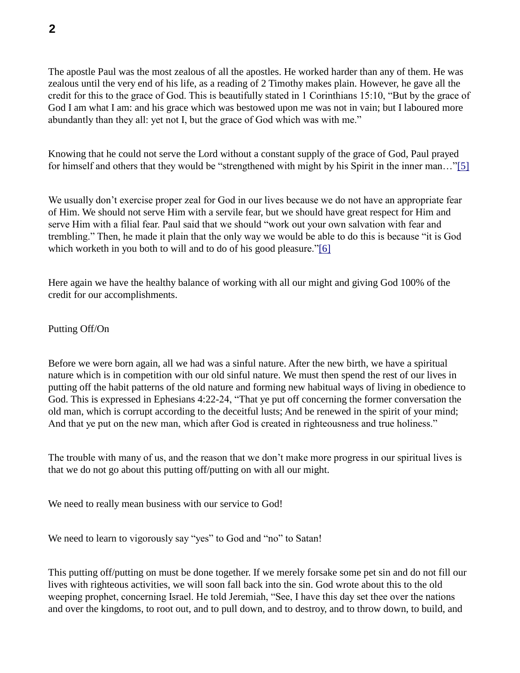The apostle Paul was the most zealous of all the apostles. He worked harder than any of them. He was zealous until the very end of his life, as a reading of 2 Timothy makes plain. However, he gave all the credit for this to the grace of God. This is beautifully stated in 1 Corinthians 15:10, "But by the grace of God I am what I am: and his grace which was bestowed upon me was not in vain; but I laboured more abundantly than they all: yet not I, but the grace of God which was with me."

Knowing that he could not serve the Lord without a constant supply of the grace of God, Paul prayed for himself and others that they would be "strengthened with might by his Spirit in the inner man…"[5]

We usually don't exercise proper zeal for God in our lives because we do not have an appropriate fear of Him. We should not serve Him with a servile fear, but we should have great respect for Him and serve Him with a filial fear. Paul said that we should "work out your own salvation with fear and trembling." Then, he made it plain that the only way we would be able to do this is because "it is God which worketh in you both to will and to do of his good pleasure."[6]

Here again we have the healthy balance of working with all our might and giving God 100% of the credit for our accomplishments.

Putting Off/On

Before we were born again, all we had was a sinful nature. After the new birth, we have a spiritual nature which is in competition with our old sinful nature. We must then spend the rest of our lives in putting off the habit patterns of the old nature and forming new habitual ways of living in obedience to God. This is expressed in Ephesians 4:22-24, "That ye put off concerning the former conversation the old man, which is corrupt according to the deceitful lusts; And be renewed in the spirit of your mind; And that ye put on the new man, which after God is created in righteousness and true holiness."

The trouble with many of us, and the reason that we don't make more progress in our spiritual lives is that we do not go about this putting off/putting on with all our might.

We need to really mean business with our service to God!

We need to learn to vigorously say "yes" to God and "no" to Satan!

This putting off/putting on must be done together. If we merely forsake some pet sin and do not fill our lives with righteous activities, we will soon fall back into the sin. God wrote about this to the old weeping prophet, concerning Israel. He told Jeremiah, "See, I have this day set thee over the nations and over the kingdoms, to root out, and to pull down, and to destroy, and to throw down, to build, and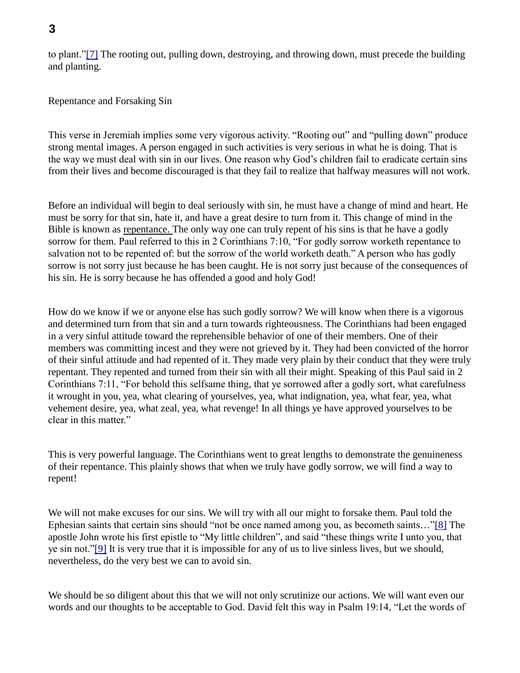to plant."[7] The rooting out, pulling down, destroying, and throwing down, must precede the building and planting.

Repentance and Forsaking Sin

This verse in Jeremiah implies some very vigorous activity. "Rooting out" and "pulling down" produce strong mental images. A person engaged in such activities is very serious in what he is doing. That is the way we must deal with sin in our lives. One reason why God's children fail to eradicate certain sins from their lives and become discouraged is that they fail to realize that halfway measures will not work.

Before an individual will begin to deal seriously with sin, he must have a change of mind and heart. He must be sorry for that sin, hate it, and have a great desire to turn from it. This change of mind in the Bible is known as repentance. The only way one can truly repent of his sins is that he have a godly sorrow for them. Paul referred to this in 2 Corinthians 7:10, "For godly sorrow worketh repentance to salvation not to be repented of: but the sorrow of the world worketh death." A person who has godly sorrow is not sorry just because he has been caught. He is not sorry just because of the consequences of his sin. He is sorry because he has offended a good and holy God!

How do we know if we or anyone else has such godly sorrow? We will know when there is a vigorous and determined turn from that sin and a turn towards righteousness. The Corinthians had been engaged in a very sinful attitude toward the reprehensible behavior of one of their members. One of their members was committing incest and they were not grieved by it. They had been convicted of the horror of their sinful attitude and had repented of it. They made very plain by their conduct that they were truly repentant. They repented and turned from their sin with all their might. Speaking of this Paul said in 2 Corinthians 7:11, "For behold this selfsame thing, that ye sorrowed after a godly sort, what carefulness it wrought in you, yea, what clearing of yourselves, yea, what indignation, yea, what fear, yea, what vehement desire, yea, what zeal, yea, what revenge! In all things ye have approved yourselves to be clear in this matter."

This is very powerful language. The Corinthians went to great lengths to demonstrate the genuineness of their repentance. This plainly shows that when we truly have godly sorrow, we will find a way to repent!

We will not make excuses for our sins. We will try with all our might to forsake them. Paul told the Ephesian saints that certain sins should "not be once named among you, as becometh saints…"[8] The apostle John wrote his first epistle to "My little children", and said "these things write I unto you, that ye sin not."[9] It is very true that it is impossible for any of us to live sinless lives, but we should, nevertheless, do the very best we can to avoid sin.

We should be so diligent about this that we will not only scrutinize our actions. We will want even our words and our thoughts to be acceptable to God. David felt this way in Psalm 19:14, "Let the words of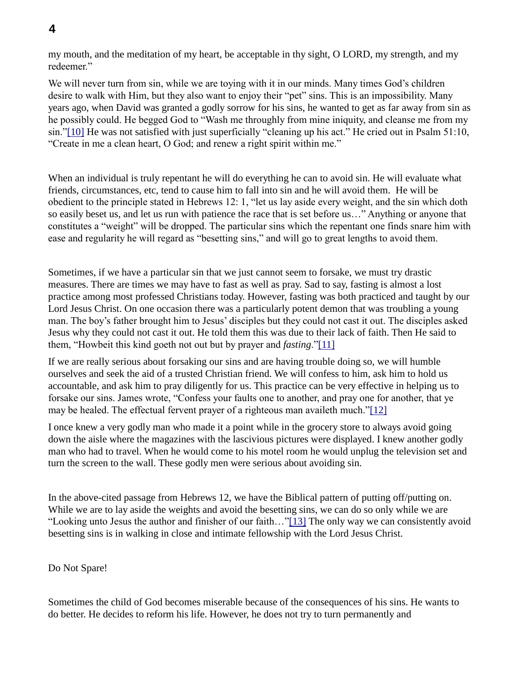my mouth, and the meditation of my heart, be acceptable in thy sight, O LORD, my strength, and my redeemer."

We will never turn from sin, while we are toying with it in our minds. Many times God's children desire to walk with Him, but they also want to enjoy their "pet" sins. This is an impossibility. Many years ago, when David was granted a godly sorrow for his sins, he wanted to get as far away from sin as he possibly could. He begged God to "Wash me throughly from mine iniquity, and cleanse me from my sin."[10] He was not satisfied with just superficially "cleaning up his act." He cried out in Psalm 51:10, "Create in me a clean heart, O God; and renew a right spirit within me."

When an individual is truly repentant he will do everything he can to avoid sin. He will evaluate what friends, circumstances, etc, tend to cause him to fall into sin and he will avoid them. He will be obedient to the principle stated in Hebrews 12: 1, "let us lay aside every weight, and the sin which doth so easily beset us, and let us run with patience the race that is set before us…" Anything or anyone that constitutes a "weight" will be dropped. The particular sins which the repentant one finds snare him with ease and regularity he will regard as "besetting sins," and will go to great lengths to avoid them.

Sometimes, if we have a particular sin that we just cannot seem to forsake, we must try drastic measures. There are times we may have to fast as well as pray. Sad to say, fasting is almost a lost practice among most professed Christians today. However, fasting was both practiced and taught by our Lord Jesus Christ. On one occasion there was a particularly potent demon that was troubling a young man. The boy's father brought him to Jesus' disciples but they could not cast it out. The disciples asked Jesus why they could not cast it out. He told them this was due to their lack of faith. Then He said to them, "Howbeit this kind goeth not out but by prayer and *fasting*."[11]

If we are really serious about forsaking our sins and are having trouble doing so, we will humble ourselves and seek the aid of a trusted Christian friend. We will confess to him, ask him to hold us accountable, and ask him to pray diligently for us. This practice can be very effective in helping us to forsake our sins. James wrote, "Confess your faults one to another, and pray one for another, that ye may be healed. The effectual fervent prayer of a righteous man availeth much."[12]

I once knew a very godly man who made it a point while in the grocery store to always avoid going down the aisle where the magazines with the lascivious pictures were displayed. I knew another godly man who had to travel. When he would come to his motel room he would unplug the television set and turn the screen to the wall. These godly men were serious about avoiding sin.

In the above-cited passage from Hebrews 12, we have the Biblical pattern of putting off/putting on. While we are to lay aside the weights and avoid the besetting sins, we can do so only while we are "Looking unto Jesus the author and finisher of our faith…"[13] The only way we can consistently avoid besetting sins is in walking in close and intimate fellowship with the Lord Jesus Christ.

### Do Not Spare!

Sometimes the child of God becomes miserable because of the consequences of his sins. He wants to do better. He decides to reform his life. However, he does not try to turn permanently and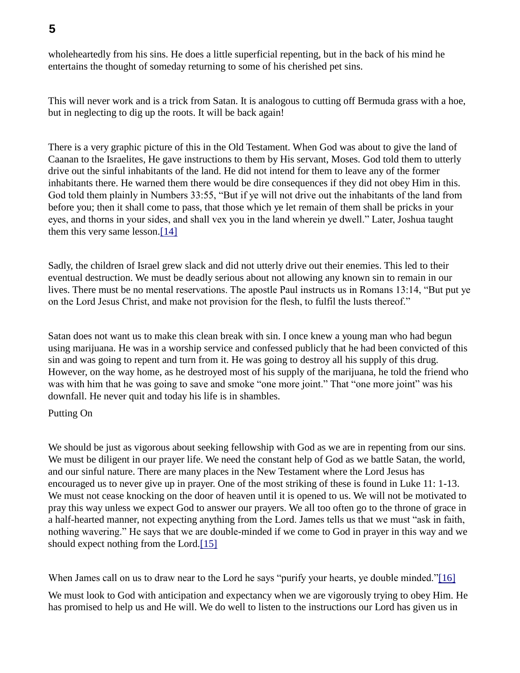wholeheartedly from his sins. He does a little superficial repenting, but in the back of his mind he entertains the thought of someday returning to some of his cherished pet sins.

This will never work and is a trick from Satan. It is analogous to cutting off Bermuda grass with a hoe, but in neglecting to dig up the roots. It will be back again!

There is a very graphic picture of this in the Old Testament. When God was about to give the land of Caanan to the Israelites, He gave instructions to them by His servant, Moses. God told them to utterly drive out the sinful inhabitants of the land. He did not intend for them to leave any of the former inhabitants there. He warned them there would be dire consequences if they did not obey Him in this. God told them plainly in Numbers 33:55, "But if ye will not drive out the inhabitants of the land from before you; then it shall come to pass, that those which ye let remain of them shall be pricks in your eyes, and thorns in your sides, and shall vex you in the land wherein ye dwell." Later, Joshua taught them this very same lesson.[14]

Sadly, the children of Israel grew slack and did not utterly drive out their enemies. This led to their eventual destruction. We must be deadly serious about not allowing any known sin to remain in our lives. There must be no mental reservations. The apostle Paul instructs us in Romans 13:14, "But put ye on the Lord Jesus Christ, and make not provision for the flesh, to fulfil the lusts thereof."

Satan does not want us to make this clean break with sin. I once knew a young man who had begun using marijuana. He was in a worship service and confessed publicly that he had been convicted of this sin and was going to repent and turn from it. He was going to destroy all his supply of this drug. However, on the way home, as he destroyed most of his supply of the marijuana, he told the friend who was with him that he was going to save and smoke "one more joint." That "one more joint" was his downfall. He never quit and today his life is in shambles.

Putting On

We should be just as vigorous about seeking fellowship with God as we are in repenting from our sins. We must be diligent in our prayer life. We need the constant help of God as we battle Satan, the world, and our sinful nature. There are many places in the New Testament where the Lord Jesus has encouraged us to never give up in prayer. One of the most striking of these is found in Luke 11: 1-13. We must not cease knocking on the door of heaven until it is opened to us. We will not be motivated to pray this way unless we expect God to answer our prayers. We all too often go to the throne of grace in a half-hearted manner, not expecting anything from the Lord. James tells us that we must "ask in faith, nothing wavering." He says that we are double-minded if we come to God in prayer in this way and we should expect nothing from the Lord.[15]

When James call on us to draw near to the Lord he says "purify your hearts, ye double minded."[16]

We must look to God with anticipation and expectancy when we are vigorously trying to obey Him. He has promised to help us and He will. We do well to listen to the instructions our Lord has given us in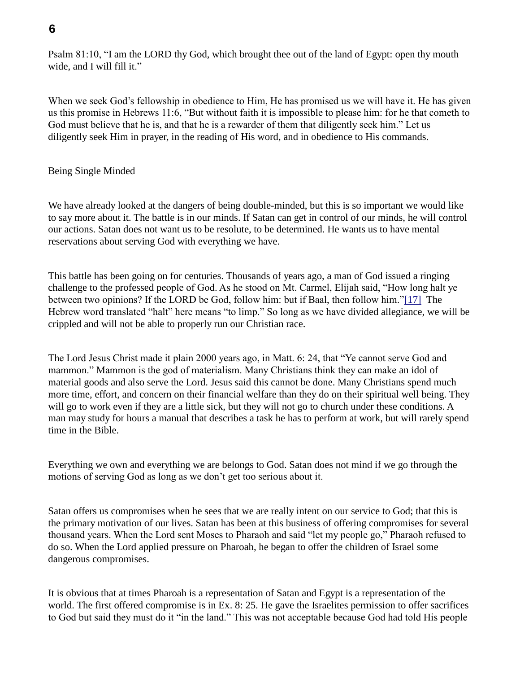## **6**

Psalm 81:10, "I am the LORD thy God, which brought thee out of the land of Egypt: open thy mouth wide, and I will fill it."

When we seek God's fellowship in obedience to Him, He has promised us we will have it. He has given us this promise in Hebrews 11:6, "But without faith it is impossible to please him: for he that cometh to God must believe that he is, and that he is a rewarder of them that diligently seek him." Let us diligently seek Him in prayer, in the reading of His word, and in obedience to His commands.

### Being Single Minded

We have already looked at the dangers of being double-minded, but this is so important we would like to say more about it. The battle is in our minds. If Satan can get in control of our minds, he will control our actions. Satan does not want us to be resolute, to be determined. He wants us to have mental reservations about serving God with everything we have.

This battle has been going on for centuries. Thousands of years ago, a man of God issued a ringing challenge to the professed people of God. As he stood on Mt. Carmel, Elijah said, "How long halt ye between two opinions? If the LORD be God, follow him: but if Baal, then follow him."[17] The Hebrew word translated "halt" here means "to limp." So long as we have divided allegiance, we will be crippled and will not be able to properly run our Christian race.

The Lord Jesus Christ made it plain 2000 years ago, in Matt. 6: 24, that "Ye cannot serve God and mammon." Mammon is the god of materialism. Many Christians think they can make an idol of material goods and also serve the Lord. Jesus said this cannot be done. Many Christians spend much more time, effort, and concern on their financial welfare than they do on their spiritual well being. They will go to work even if they are a little sick, but they will not go to church under these conditions. A man may study for hours a manual that describes a task he has to perform at work, but will rarely spend time in the Bible.

Everything we own and everything we are belongs to God. Satan does not mind if we go through the motions of serving God as long as we don't get too serious about it.

Satan offers us compromises when he sees that we are really intent on our service to God; that this is the primary motivation of our lives. Satan has been at this business of offering compromises for several thousand years. When the Lord sent Moses to Pharaoh and said "let my people go," Pharaoh refused to do so. When the Lord applied pressure on Pharoah, he began to offer the children of Israel some dangerous compromises.

It is obvious that at times Pharoah is a representation of Satan and Egypt is a representation of the world. The first offered compromise is in Ex. 8: 25. He gave the Israelites permission to offer sacrifices to God but said they must do it "in the land." This was not acceptable because God had told His people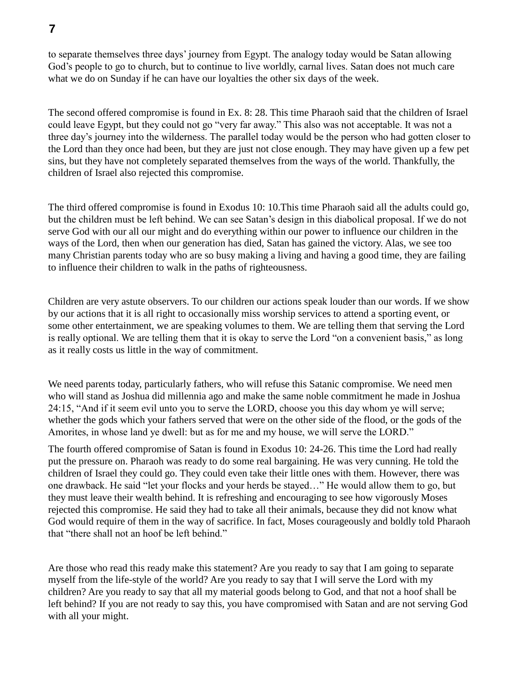## **7**

to separate themselves three days' journey from Egypt. The analogy today would be Satan allowing God's people to go to church, but to continue to live worldly, carnal lives. Satan does not much care what we do on Sunday if he can have our loyalties the other six days of the week.

The second offered compromise is found in Ex. 8: 28. This time Pharaoh said that the children of Israel could leave Egypt, but they could not go "very far away." This also was not acceptable. It was not a three day's journey into the wilderness. The parallel today would be the person who had gotten closer to the Lord than they once had been, but they are just not close enough. They may have given up a few pet sins, but they have not completely separated themselves from the ways of the world. Thankfully, the children of Israel also rejected this compromise.

The third offered compromise is found in Exodus 10: 10.This time Pharaoh said all the adults could go, but the children must be left behind. We can see Satan's design in this diabolical proposal. If we do not serve God with our all our might and do everything within our power to influence our children in the ways of the Lord, then when our generation has died, Satan has gained the victory. Alas, we see too many Christian parents today who are so busy making a living and having a good time, they are failing to influence their children to walk in the paths of righteousness.

Children are very astute observers. To our children our actions speak louder than our words. If we show by our actions that it is all right to occasionally miss worship services to attend a sporting event, or some other entertainment, we are speaking volumes to them. We are telling them that serving the Lord is really optional. We are telling them that it is okay to serve the Lord "on a convenient basis," as long as it really costs us little in the way of commitment.

We need parents today, particularly fathers, who will refuse this Satanic compromise. We need men who will stand as Joshua did millennia ago and make the same noble commitment he made in Joshua 24:15, "And if it seem evil unto you to serve the LORD, choose you this day whom ye will serve; whether the gods which your fathers served that were on the other side of the flood, or the gods of the Amorites, in whose land ye dwell: but as for me and my house, we will serve the LORD."

The fourth offered compromise of Satan is found in Exodus 10: 24-26. This time the Lord had really put the pressure on. Pharaoh was ready to do some real bargaining. He was very cunning. He told the children of Israel they could go. They could even take their little ones with them. However, there was one drawback. He said "let your flocks and your herds be stayed…" He would allow them to go, but they must leave their wealth behind. It is refreshing and encouraging to see how vigorously Moses rejected this compromise. He said they had to take all their animals, because they did not know what God would require of them in the way of sacrifice. In fact, Moses courageously and boldly told Pharaoh that "there shall not an hoof be left behind."

Are those who read this ready make this statement? Are you ready to say that I am going to separate myself from the life-style of the world? Are you ready to say that I will serve the Lord with my children? Are you ready to say that all my material goods belong to God, and that not a hoof shall be left behind? If you are not ready to say this, you have compromised with Satan and are not serving God with all your might.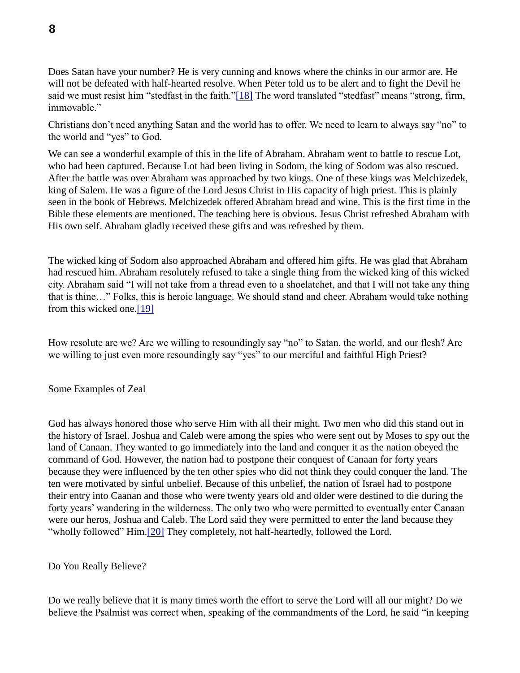Does Satan have your number? He is very cunning and knows where the chinks in our armor are. He will not be defeated with half-hearted resolve. When Peter told us to be alert and to fight the Devil he said we must resist him "stedfast in the faith."[18] The word translated "stedfast" means "strong, firm, immovable."

Christians don't need anything Satan and the world has to offer. We need to learn to always say "no" to the world and "yes" to God.

We can see a wonderful example of this in the life of Abraham. Abraham went to battle to rescue Lot, who had been captured. Because Lot had been living in Sodom, the king of Sodom was also rescued. After the battle was over Abraham was approached by two kings. One of these kings was Melchizedek, king of Salem. He was a figure of the Lord Jesus Christ in His capacity of high priest. This is plainly seen in the book of Hebrews. Melchizedek offered Abraham bread and wine. This is the first time in the Bible these elements are mentioned. The teaching here is obvious. Jesus Christ refreshed Abraham with His own self. Abraham gladly received these gifts and was refreshed by them.

The wicked king of Sodom also approached Abraham and offered him gifts. He was glad that Abraham had rescued him. Abraham resolutely refused to take a single thing from the wicked king of this wicked city. Abraham said "I will not take from a thread even to a shoelatchet, and that I will not take any thing that is thine…" Folks, this is heroic language. We should stand and cheer. Abraham would take nothing from this wicked one.[19]

How resolute are we? Are we willing to resoundingly say "no" to Satan, the world, and our flesh? Are we willing to just even more resoundingly say "yes" to our merciful and faithful High Priest?

Some Examples of Zeal

God has always honored those who serve Him with all their might. Two men who did this stand out in the history of Israel. Joshua and Caleb were among the spies who were sent out by Moses to spy out the land of Canaan. They wanted to go immediately into the land and conquer it as the nation obeyed the command of God. However, the nation had to postpone their conquest of Canaan for forty years because they were influenced by the ten other spies who did not think they could conquer the land. The ten were motivated by sinful unbelief. Because of this unbelief, the nation of Israel had to postpone their entry into Caanan and those who were twenty years old and older were destined to die during the forty years' wandering in the wilderness. The only two who were permitted to eventually enter Canaan were our heros, Joshua and Caleb. The Lord said they were permitted to enter the land because they "wholly followed" Him.[20] They completely, not half-heartedly, followed the Lord.

Do You Really Believe?

Do we really believe that it is many times worth the effort to serve the Lord will all our might? Do we believe the Psalmist was correct when, speaking of the commandments of the Lord, he said "in keeping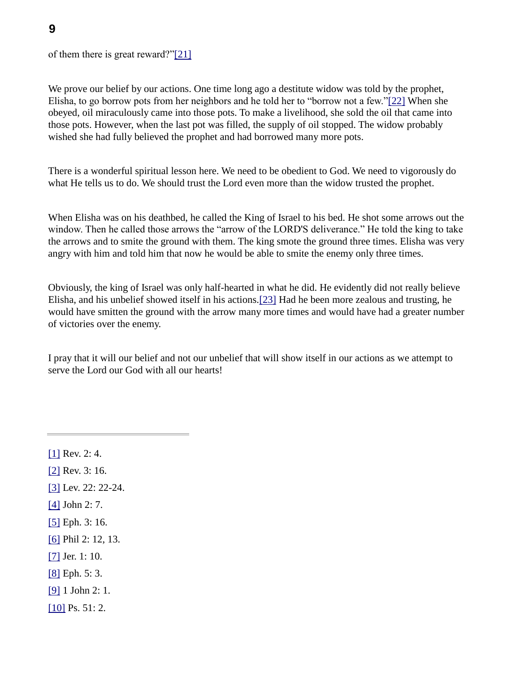of them there is great reward?"[21]

We prove our belief by our actions. One time long ago a destitute widow was told by the prophet, Elisha, to go borrow pots from her neighbors and he told her to "borrow not a few."[22] When she obeyed, oil miraculously came into those pots. To make a livelihood, she sold the oil that came into those pots. However, when the last pot was filled, the supply of oil stopped. The widow probably wished she had fully believed the prophet and had borrowed many more pots.

There is a wonderful spiritual lesson here. We need to be obedient to God. We need to vigorously do what He tells us to do. We should trust the Lord even more than the widow trusted the prophet.

When Elisha was on his deathbed, he called the King of Israel to his bed. He shot some arrows out the window. Then he called those arrows the "arrow of the LORD'S deliverance." He told the king to take the arrows and to smite the ground with them. The king smote the ground three times. Elisha was very angry with him and told him that now he would be able to smite the enemy only three times.

Obviously, the king of Israel was only half-hearted in what he did. He evidently did not really believe Elisha, and his unbelief showed itself in his actions.[23] Had he been more zealous and trusting, he would have smitten the ground with the arrow many more times and would have had a greater number of victories over the enemy.

I pray that it will our belief and not our unbelief that will show itself in our actions as we attempt to serve the Lord our God with all our hearts!

[1] Rev. 2: 4.

[2] Rev. 3: 16.

- [3] Lev. 22: 22-24.
- [4] John 2: 7.
- [5] Eph. 3: 16.
- [6] Phil 2: 12, 13.
- [7] Jer. 1: 10.
- [8] Eph. 5: 3.
- [9] 1 John 2: 1.
- [10] Ps. 51: 2.